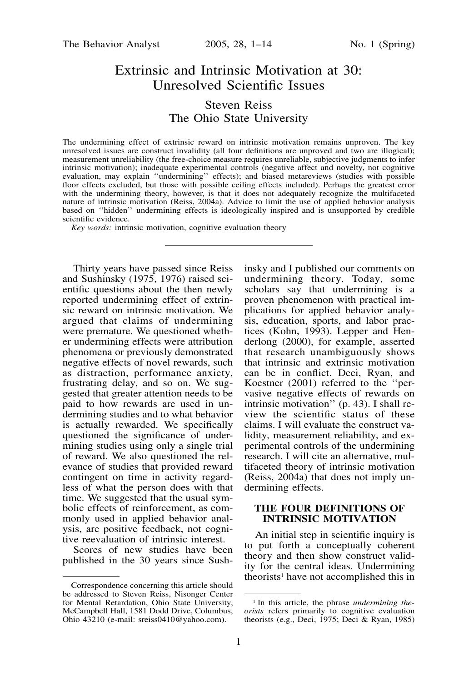# Extrinsic and Intrinsic Motivation at 30: Unresolved Scientific Issues

# Steven Reiss The Ohio State University

The undermining effect of extrinsic reward on intrinsic motivation remains unproven. The key unresolved issues are construct invalidity (all four definitions are unproved and two are illogical); measurement unreliability (the free-choice measure requires unreliable, subjective judgments to infer intrinsic motivation); inadequate experimental controls (negative affect and novelty, not cognitive evaluation, may explain ''undermining'' effects); and biased metareviews (studies with possible floor effects excluded, but those with possible ceiling effects included). Perhaps the greatest error with the undermining theory, however, is that it does not adequately recognize the multifaceted nature of intrinsic motivation (Reiss, 2004a). Advice to limit the use of applied behavior analysis based on ''hidden'' undermining effects is ideologically inspired and is unsupported by credible scientific evidence.

*Key words:* intrinsic motivation, cognitive evaluation theory

Thirty years have passed since Reiss and Sushinsky (1975, 1976) raised scientific questions about the then newly reported undermining effect of extrinsic reward on intrinsic motivation. We argued that claims of undermining were premature. We questioned whether undermining effects were attribution phenomena or previously demonstrated negative effects of novel rewards, such as distraction, performance anxiety, frustrating delay, and so on. We suggested that greater attention needs to be paid to how rewards are used in undermining studies and to what behavior is actually rewarded. We specifically questioned the significance of undermining studies using only a single trial of reward. We also questioned the relevance of studies that provided reward contingent on time in activity regardless of what the person does with that time. We suggested that the usual symbolic effects of reinforcement, as commonly used in applied behavior analysis, are positive feedback, not cognitive reevaluation of intrinsic interest.

Scores of new studies have been published in the 30 years since Sushinsky and I published our comments on undermining theory. Today, some scholars say that undermining is a proven phenomenon with practical implications for applied behavior analysis, education, sports, and labor practices (Kohn, 1993). Lepper and Henderlong (2000), for example, asserted that research unambiguously shows that intrinsic and extrinsic motivation can be in conflict. Deci, Ryan, and Koestner (2001) referred to the ''pervasive negative effects of rewards on intrinsic motivation'' (p. 43). I shall review the scientific status of these claims. I will evaluate the construct validity, measurement reliability, and experimental controls of the undermining research. I will cite an alternative, multifaceted theory of intrinsic motivation (Reiss, 2004a) that does not imply undermining effects.

# **THE FOUR DEFINITIONS OF INTRINSIC MOTIVATION**

An initial step in scientific inquiry is to put forth a conceptually coherent theory and then show construct validity for the central ideas. Undermining theorists<sup>1</sup> have not accomplished this in

Correspondence concerning this article should be addressed to Steven Reiss, Nisonger Center for Mental Retardation, Ohio State University, McCampbell Hall, 1581 Dodd Drive, Columbus, Ohio 43210 (e-mail: sreiss0410@yahoo.com).

<sup>1</sup> In this article, the phrase *undermining theorists* refers primarily to cognitive evaluation theorists (e.g., Deci, 1975; Deci & Ryan, 1985)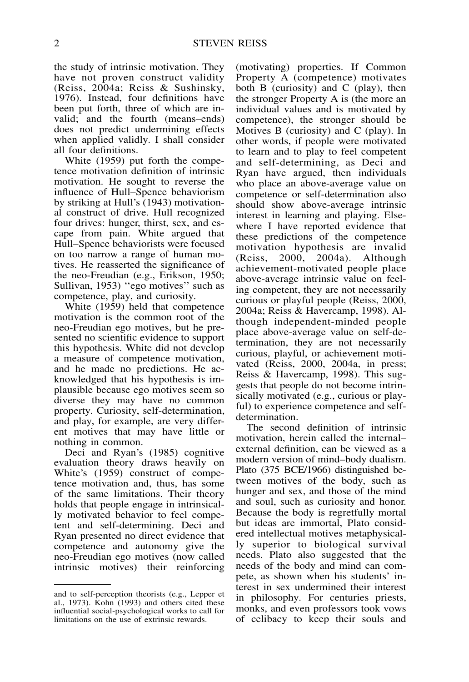the study of intrinsic motivation. They have not proven construct validity (Reiss, 2004a; Reiss & Sushinsky, 1976). Instead, four definitions have been put forth, three of which are invalid; and the fourth (means–ends) does not predict undermining effects when applied validly. I shall consider all four definitions.

White (1959) put forth the competence motivation definition of intrinsic motivation. He sought to reverse the influence of Hull–Spence behaviorism by striking at Hull's (1943) motivational construct of drive. Hull recognized four drives: hunger, thirst, sex, and escape from pain. White argued that Hull–Spence behaviorists were focused on too narrow a range of human motives. He reasserted the significance of the neo-Freudian (e.g., Erikson, 1950; Sullivan, 1953) "ego motives" such as competence, play, and curiosity.

White (1959) held that competence motivation is the common root of the neo-Freudian ego motives, but he presented no scientific evidence to support this hypothesis. White did not develop a measure of competence motivation, and he made no predictions. He acknowledged that his hypothesis is implausible because ego motives seem so diverse they may have no common property. Curiosity, self-determination, and play, for example, are very different motives that may have little or nothing in common.

Deci and Ryan's (1985) cognitive evaluation theory draws heavily on White's (1959) construct of competence motivation and, thus, has some of the same limitations. Their theory holds that people engage in intrinsically motivated behavior to feel competent and self-determining. Deci and Ryan presented no direct evidence that competence and autonomy give the neo-Freudian ego motives (now called intrinsic motives) their reinforcing (motivating) properties. If Common Property A (competence) motivates both  $\bf{B}$  (curiosity) and  $\bf{C}$  (play), then the stronger Property A is (the more an individual values and is motivated by competence), the stronger should be Motives B (curiosity) and C (play). In other words, if people were motivated to learn and to play to feel competent and self-determining, as Deci and Ryan have argued, then individuals who place an above-average value on competence or self-determination also should show above-average intrinsic interest in learning and playing. Elsewhere I have reported evidence that these predictions of the competence motivation hypothesis are invalid (Reiss, 2000, 2004a). Although achievement-motivated people place above-average intrinsic value on feeling competent, they are not necessarily curious or playful people (Reiss, 2000, 2004a; Reiss & Havercamp, 1998). Although independent-minded people place above-average value on self-determination, they are not necessarily curious, playful, or achievement motivated (Reiss, 2000, 2004a, in press; Reiss & Havercamp, 1998). This suggests that people do not become intrinsically motivated (e.g., curious or playful) to experience competence and selfdetermination.

The second definition of intrinsic motivation, herein called the internal– external definition, can be viewed as a modern version of mind–body dualism. Plato (375 BCE/1966) distinguished between motives of the body, such as hunger and sex, and those of the mind and soul, such as curiosity and honor. Because the body is regretfully mortal but ideas are immortal, Plato considered intellectual motives metaphysically superior to biological survival needs. Plato also suggested that the needs of the body and mind can compete, as shown when his students' interest in sex undermined their interest in philosophy. For centuries priests, monks, and even professors took vows of celibacy to keep their souls and

and to self-perception theorists (e.g., Lepper et al., 1973). Kohn (1993) and others cited these influential social-psychological works to call for limitations on the use of extrinsic rewards.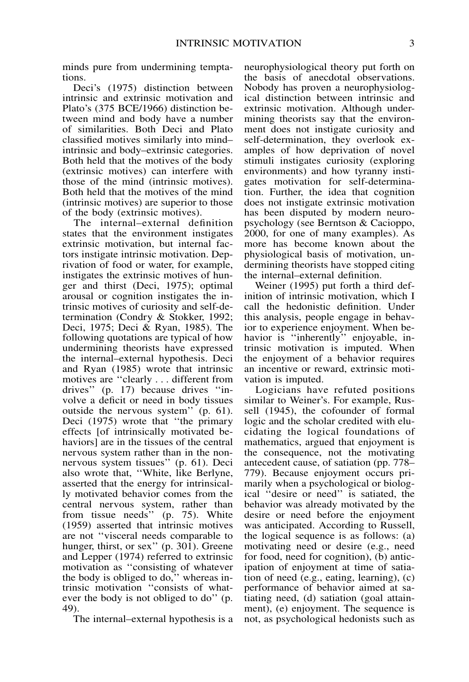minds pure from undermining temptations.

Deci's (1975) distinction between intrinsic and extrinsic motivation and Plato's (375 BCE/1966) distinction between mind and body have a number of similarities. Both Deci and Plato classified motives similarly into mind– intrinsic and body–extrinsic categories. Both held that the motives of the body (extrinsic motives) can interfere with those of the mind (intrinsic motives). Both held that the motives of the mind (intrinsic motives) are superior to those of the body (extrinsic motives).

The internal–external definition states that the environment instigates extrinsic motivation, but internal factors instigate intrinsic motivation. Deprivation of food or water, for example, instigates the extrinsic motives of hunger and thirst (Deci, 1975); optimal arousal or cognition instigates the intrinsic motives of curiosity and self-determination (Condry & Stokker, 1992; Deci, 1975; Deci & Ryan, 1985). The following quotations are typical of how undermining theorists have expressed the internal–external hypothesis. Deci and Ryan (1985) wrote that intrinsic motives are ''clearly . . . different from drives'' (p. 17) because drives ''involve a deficit or need in body tissues outside the nervous system'' (p. 61). Deci (1975) wrote that ''the primary effects [of intrinsically motivated behaviors] are in the tissues of the central nervous system rather than in the nonnervous system tissues'' (p. 61). Deci also wrote that, ''White, like Berlyne, asserted that the energy for intrinsically motivated behavior comes from the central nervous system, rather than from tissue needs'' (p. 75). White (1959) asserted that intrinsic motives are not ''visceral needs comparable to hunger, thirst, or sex" (p. 301). Greene and Lepper (1974) referred to extrinsic motivation as ''consisting of whatever the body is obliged to do," whereas intrinsic motivation ''consists of whatever the body is not obliged to do'' (p. 49).

The internal–external hypothesis is a

neurophysiological theory put forth on the basis of anecdotal observations. Nobody has proven a neurophysiological distinction between intrinsic and extrinsic motivation. Although undermining theorists say that the environment does not instigate curiosity and self-determination, they overlook examples of how deprivation of novel stimuli instigates curiosity (exploring environments) and how tyranny instigates motivation for self-determination. Further, the idea that cognition does not instigate extrinsic motivation has been disputed by modern neuropsychology (see Berntson & Cacioppo, 2000, for one of many examples). As more has become known about the physiological basis of motivation, undermining theorists have stopped citing the internal–external definition.

Weiner (1995) put forth a third definition of intrinsic motivation, which I call the hedonistic definition. Under this analysis, people engage in behavior to experience enjoyment. When behavior is "inherently" enjoyable, intrinsic motivation is imputed. When the enjoyment of a behavior requires an incentive or reward, extrinsic motivation is imputed.

Logicians have refuted positions similar to Weiner's. For example, Russell (1945), the cofounder of formal logic and the scholar credited with elucidating the logical foundations of mathematics, argued that enjoyment is the consequence, not the motivating antecedent cause, of satiation (pp. 778– 779). Because enjoyment occurs primarily when a psychological or biological ''desire or need'' is satiated, the behavior was already motivated by the desire or need before the enjoyment was anticipated. According to Russell, the logical sequence is as follows: (a) motivating need or desire (e.g., need for food, need for cognition), (b) anticipation of enjoyment at time of satiation of need (e.g., eating, learning), (c) performance of behavior aimed at satiating need, (d) satiation (goal attainment), (e) enjoyment. The sequence is not, as psychological hedonists such as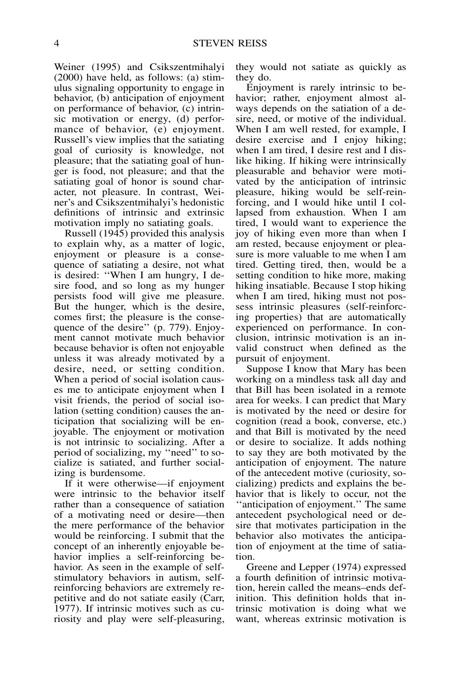Weiner (1995) and Csikszentmihalyi (2000) have held, as follows: (a) stimulus signaling opportunity to engage in behavior, (b) anticipation of enjoyment on performance of behavior, (c) intrinsic motivation or energy, (d) performance of behavior, (e) enjoyment. Russell's view implies that the satiating goal of curiosity is knowledge, not pleasure; that the satiating goal of hunger is food, not pleasure; and that the satiating goal of honor is sound character, not pleasure. In contrast, Weiner's and Csikszentmihalyi's hedonistic definitions of intrinsic and extrinsic motivation imply no satiating goals.

Russell (1945) provided this analysis to explain why, as a matter of logic, enjoyment or pleasure is a consequence of satiating a desire, not what is desired: ''When I am hungry, I desire food, and so long as my hunger persists food will give me pleasure. But the hunger, which is the desire, comes first; the pleasure is the consequence of the desire'' (p. 779). Enjoyment cannot motivate much behavior because behavior is often not enjoyable unless it was already motivated by a desire, need, or setting condition. When a period of social isolation causes me to anticipate enjoyment when I visit friends, the period of social isolation (setting condition) causes the anticipation that socializing will be enjoyable. The enjoyment or motivation is not intrinsic to socializing. After a period of socializing, my ''need'' to socialize is satiated, and further socializing is burdensome.

If it were otherwise—if enjoyment were intrinsic to the behavior itself rather than a consequence of satiation of a motivating need or desire—then the mere performance of the behavior would be reinforcing. I submit that the concept of an inherently enjoyable behavior implies a self-reinforcing behavior. As seen in the example of selfstimulatory behaviors in autism, selfreinforcing behaviors are extremely repetitive and do not satiate easily (Carr, 1977). If intrinsic motives such as curiosity and play were self-pleasuring,

they would not satiate as quickly as they do.

Enjoyment is rarely intrinsic to behavior; rather, enjoyment almost always depends on the satiation of a desire, need, or motive of the individual. When I am well rested, for example, I desire exercise and I enjoy hiking; when I am tired, I desire rest and I dislike hiking. If hiking were intrinsically pleasurable and behavior were motivated by the anticipation of intrinsic pleasure, hiking would be self-reinforcing, and I would hike until I collapsed from exhaustion. When I am tired, I would want to experience the joy of hiking even more than when I am rested, because enjoyment or pleasure is more valuable to me when I am tired. Getting tired, then, would be a setting condition to hike more, making hiking insatiable. Because I stop hiking when I am tired, hiking must not possess intrinsic pleasures (self-reinforcing properties) that are automatically experienced on performance. In conclusion, intrinsic motivation is an invalid construct when defined as the pursuit of enjoyment.

Suppose I know that Mary has been working on a mindless task all day and that Bill has been isolated in a remote area for weeks. I can predict that Mary is motivated by the need or desire for cognition (read a book, converse, etc.) and that Bill is motivated by the need or desire to socialize. It adds nothing to say they are both motivated by the anticipation of enjoyment. The nature of the antecedent motive (curiosity, socializing) predicts and explains the behavior that is likely to occur, not the ''anticipation of enjoyment.'' The same antecedent psychological need or desire that motivates participation in the behavior also motivates the anticipation of enjoyment at the time of satiation.

Greene and Lepper (1974) expressed a fourth definition of intrinsic motivation, herein called the means–ends definition. This definition holds that intrinsic motivation is doing what we want, whereas extrinsic motivation is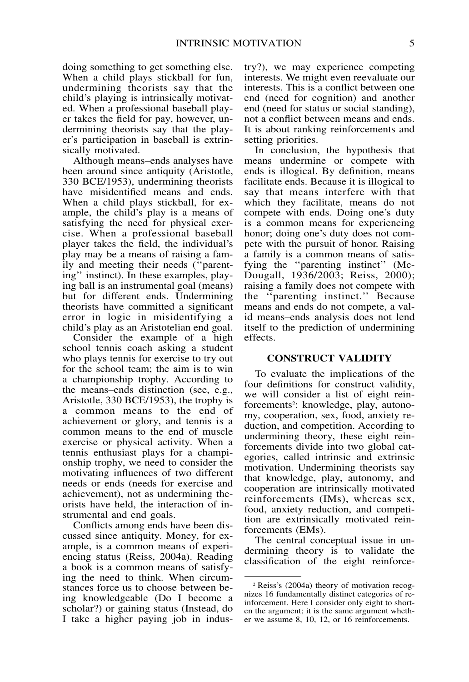doing something to get something else. When a child plays stickball for fun, undermining theorists say that the child's playing is intrinsically motivated. When a professional baseball player takes the field for pay, however, undermining theorists say that the player's participation in baseball is extrinsically motivated.

Although means–ends analyses have been around since antiquity (Aristotle, 330 BCE/1953), undermining theorists have misidentified means and ends. When a child plays stickball, for example, the child's play is a means of satisfying the need for physical exercise. When a professional baseball player takes the field, the individual's play may be a means of raising a family and meeting their needs (''parenting'' instinct). In these examples, playing ball is an instrumental goal (means) but for different ends. Undermining theorists have committed a significant error in logic in misidentifying a child's play as an Aristotelian end goal.

Consider the example of a high school tennis coach asking a student who plays tennis for exercise to try out for the school team; the aim is to win a championship trophy. According to the means–ends distinction (see, e.g., Aristotle, 330 BCE/1953), the trophy is a common means to the end of achievement or glory, and tennis is a common means to the end of muscle exercise or physical activity. When a tennis enthusiast plays for a championship trophy, we need to consider the motivating influences of two different needs or ends (needs for exercise and achievement), not as undermining theorists have held, the interaction of instrumental and end goals.

Conflicts among ends have been discussed since antiquity. Money, for example, is a common means of experiencing status (Reiss, 2004a). Reading a book is a common means of satisfying the need to think. When circumstances force us to choose between being knowledgeable (Do I become a scholar?) or gaining status (Instead, do I take a higher paying job in industry?), we may experience competing interests. We might even reevaluate our interests. This is a conflict between one end (need for cognition) and another end (need for status or social standing), not a conflict between means and ends. It is about ranking reinforcements and setting priorities.

In conclusion, the hypothesis that means undermine or compete with ends is illogical. By definition, means facilitate ends. Because it is illogical to say that means interfere with that which they facilitate, means do not compete with ends. Doing one's duty is a common means for experiencing honor; doing one's duty does not compete with the pursuit of honor. Raising a family is a common means of satisfying the ''parenting instinct'' (Mc-Dougall, 1936/2003; Reiss, 2000); raising a family does not compete with the ''parenting instinct.'' Because means and ends do not compete, a valid means–ends analysis does not lend itself to the prediction of undermining effects.

### **CONSTRUCT VALIDITY**

To evaluate the implications of the four definitions for construct validity, we will consider a list of eight reinforcements<sup>2</sup>: knowledge, play, autonomy, cooperation, sex, food, anxiety reduction, and competition. According to undermining theory, these eight reinforcements divide into two global categories, called intrinsic and extrinsic motivation. Undermining theorists say that knowledge, play, autonomy, and cooperation are intrinsically motivated reinforcements (IMs), whereas sex, food, anxiety reduction, and competition are extrinsically motivated reinforcements (EMs).

The central conceptual issue in undermining theory is to validate the classification of the eight reinforce-

<sup>2</sup> Reiss's (2004a) theory of motivation recognizes 16 fundamentally distinct categories of reinforcement. Here I consider only eight to shorten the argument; it is the same argument whether we assume 8, 10, 12, or 16 reinforcements.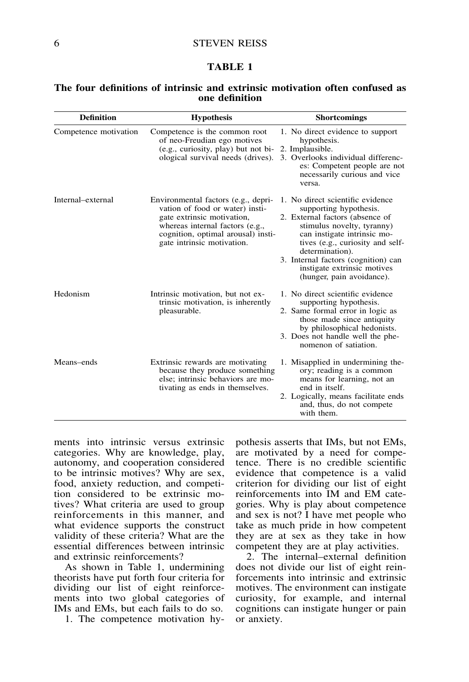#### 6 STEVEN REISS

#### **TABLE 1**

# **The four definitions of intrinsic and extrinsic motivation often confused as one definition**

| <b>Definition</b>     | <b>Hypothesis</b>                                                                                                                                                                                           | <b>Shortcomings</b>                                                                                                                                                                                                                                                                                                  |
|-----------------------|-------------------------------------------------------------------------------------------------------------------------------------------------------------------------------------------------------------|----------------------------------------------------------------------------------------------------------------------------------------------------------------------------------------------------------------------------------------------------------------------------------------------------------------------|
| Competence motivation | Competence is the common root<br>of neo-Freudian ego motives<br>$(e.g., curiosity, play) but not bi-$<br>ological survival needs (drives).                                                                  | 1. No direct evidence to support<br>hypothesis.<br>2. Implausible.<br>3. Overlooks individual differenc-<br>es: Competent people are not<br>necessarily curious and vice<br>versa.                                                                                                                                   |
| Internal-external     | Environmental factors (e.g., depri-<br>vation of food or water) insti-<br>gate extrinsic motivation,<br>whereas internal factors (e.g.,<br>cognition, optimal arousal) insti-<br>gate intrinsic motivation. | 1. No direct scientific evidence<br>supporting hypothesis.<br>2. External factors (absence of<br>stimulus novelty, tyranny)<br>can instigate intrinsic mo-<br>tives (e.g., curiosity and self-<br>determination).<br>3. Internal factors (cognition) can<br>instigate extrinsic motives<br>(hunger, pain avoidance). |
| Hedonism              | Intrinsic motivation, but not ex-<br>trinsic motivation, is inherently<br>pleasurable.                                                                                                                      | 1. No direct scientific evidence<br>supporting hypothesis.<br>2. Same formal error in logic as<br>those made since antiquity<br>by philosophical hedonists.<br>3. Does not handle well the phe-<br>nomenon of satiation.                                                                                             |
| Means-ends            | Extrinsic rewards are motivating<br>because they produce something<br>else; intrinsic behaviors are mo-<br>tivating as ends in themselves.                                                                  | 1. Misapplied in undermining the-<br>ory; reading is a common<br>means for learning, not an<br>end in itself.<br>2. Logically, means facilitate ends<br>and, thus, do not compete<br>with them.                                                                                                                      |

ments into intrinsic versus extrinsic categories. Why are knowledge, play, autonomy, and cooperation considered to be intrinsic motives? Why are sex, food, anxiety reduction, and competition considered to be extrinsic motives? What criteria are used to group reinforcements in this manner, and what evidence supports the construct validity of these criteria? What are the essential differences between intrinsic and extrinsic reinforcements?

As shown in Table 1, undermining theorists have put forth four criteria for dividing our list of eight reinforcements into two global categories of IMs and EMs, but each fails to do so.

1. The competence motivation hy-

pothesis asserts that IMs, but not EMs, are motivated by a need for competence. There is no credible scientific evidence that competence is a valid criterion for dividing our list of eight reinforcements into IM and EM categories. Why is play about competence and sex is not? I have met people who take as much pride in how competent they are at sex as they take in how competent they are at play activities.

2. The internal–external definition does not divide our list of eight reinforcements into intrinsic and extrinsic motives. The environment can instigate curiosity, for example, and internal cognitions can instigate hunger or pain or anxiety.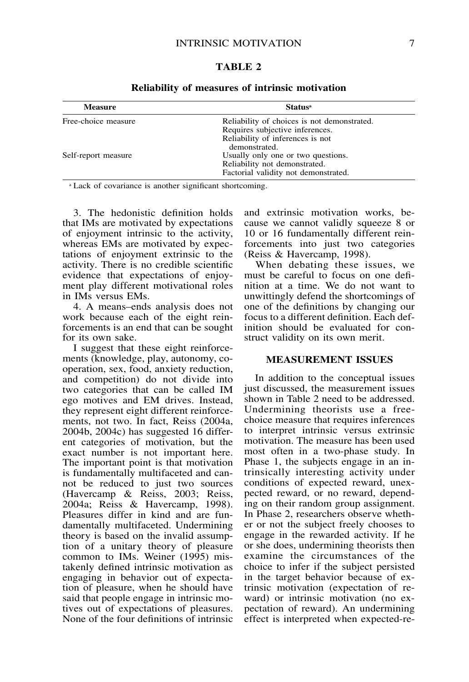#### **TABLE 2**

| <b>Measure</b>      | <b>Status</b> <sup>a</sup>                        |  |
|---------------------|---------------------------------------------------|--|
| Free-choice measure | Reliability of choices is not demonstrated.       |  |
|                     | Requires subjective inferences.                   |  |
|                     | Reliability of inferences is not<br>demonstrated. |  |
| Self-report measure | Usually only one or two questions.                |  |
|                     | Reliability not demonstrated.                     |  |
|                     | Factorial validity not demonstrated.              |  |

#### **Reliability of measures of intrinsic motivation**

<sup>a</sup> Lack of covariance is another significant shortcoming.

3. The hedonistic definition holds that IMs are motivated by expectations of enjoyment intrinsic to the activity, whereas EMs are motivated by expectations of enjoyment extrinsic to the activity. There is no credible scientific evidence that expectations of enjoyment play different motivational roles in IMs versus EMs.

4. A means–ends analysis does not work because each of the eight reinforcements is an end that can be sought for its own sake.

I suggest that these eight reinforcements (knowledge, play, autonomy, cooperation, sex, food, anxiety reduction, and competition) do not divide into two categories that can be called IM ego motives and EM drives. Instead, they represent eight different reinforcements, not two. In fact, Reiss (2004a, 2004b, 2004c) has suggested 16 different categories of motivation, but the exact number is not important here. The important point is that motivation is fundamentally multifaceted and cannot be reduced to just two sources (Havercamp & Reiss, 2003; Reiss, 2004a; Reiss & Havercamp, 1998). Pleasures differ in kind and are fundamentally multifaceted. Undermining theory is based on the invalid assumption of a unitary theory of pleasure common to IMs. Weiner (1995) mistakenly defined intrinsic motivation as engaging in behavior out of expectation of pleasure, when he should have said that people engage in intrinsic motives out of expectations of pleasures. None of the four definitions of intrinsic and extrinsic motivation works, because we cannot validly squeeze 8 or 10 or 16 fundamentally different reinforcements into just two categories (Reiss & Havercamp, 1998).

When debating these issues, we must be careful to focus on one definition at a time. We do not want to unwittingly defend the shortcomings of one of the definitions by changing our focus to a different definition. Each definition should be evaluated for construct validity on its own merit.

# **MEASUREMENT ISSUES**

In addition to the conceptual issues just discussed, the measurement issues shown in Table 2 need to be addressed. Undermining theorists use a freechoice measure that requires inferences to interpret intrinsic versus extrinsic motivation. The measure has been used most often in a two-phase study. In Phase 1, the subjects engage in an intrinsically interesting activity under conditions of expected reward, unexpected reward, or no reward, depending on their random group assignment. In Phase 2, researchers observe whether or not the subject freely chooses to engage in the rewarded activity. If he or she does, undermining theorists then examine the circumstances of the choice to infer if the subject persisted in the target behavior because of extrinsic motivation (expectation of reward) or intrinsic motivation (no expectation of reward). An undermining effect is interpreted when expected-re-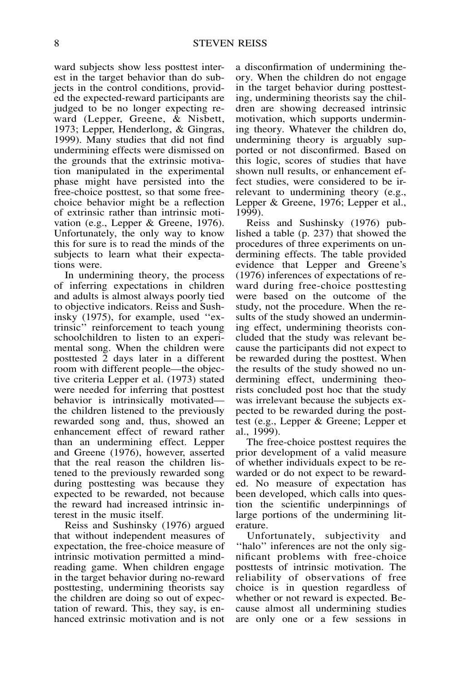ward subjects show less posttest interest in the target behavior than do subjects in the control conditions, provided the expected-reward participants are judged to be no longer expecting reward (Lepper, Greene, & Nisbett, 1973; Lepper, Henderlong, & Gingras, 1999). Many studies that did not find undermining effects were dismissed on the grounds that the extrinsic motivation manipulated in the experimental phase might have persisted into the free-choice posttest, so that some freechoice behavior might be a reflection of extrinsic rather than intrinsic motivation (e.g., Lepper & Greene, 1976). Unfortunately, the only way to know this for sure is to read the minds of the subjects to learn what their expectations were.

In undermining theory, the process of inferring expectations in children and adults is almost always poorly tied to objective indicators. Reiss and Sushinsky (1975), for example, used ''extrinsic'' reinforcement to teach young schoolchildren to listen to an experimental song. When the children were posttested 2 days later in a different room with different people—the objective criteria Lepper et al. (1973) stated were needed for inferring that posttest behavior is intrinsically motivated the children listened to the previously rewarded song and, thus, showed an enhancement effect of reward rather than an undermining effect. Lepper and Greene (1976), however, asserted that the real reason the children listened to the previously rewarded song during posttesting was because they expected to be rewarded, not because the reward had increased intrinsic interest in the music itself.

Reiss and Sushinsky (1976) argued that without independent measures of expectation, the free-choice measure of intrinsic motivation permitted a mindreading game. When children engage in the target behavior during no-reward posttesting, undermining theorists say the children are doing so out of expectation of reward. This, they say, is enhanced extrinsic motivation and is not a disconfirmation of undermining theory. When the children do not engage in the target behavior during posttesting, undermining theorists say the children are showing decreased intrinsic motivation, which supports undermining theory. Whatever the children do, undermining theory is arguably supported or not disconfirmed. Based on this logic, scores of studies that have shown null results, or enhancement effect studies, were considered to be irrelevant to undermining theory (e.g., Lepper & Greene, 1976; Lepper et al., 1999).

Reiss and Sushinsky (1976) published a table (p. 237) that showed the procedures of three experiments on undermining effects. The table provided evidence that Lepper and Greene's (1976) inferences of expectations of reward during free-choice posttesting were based on the outcome of the study, not the procedure. When the results of the study showed an undermining effect, undermining theorists concluded that the study was relevant because the participants did not expect to be rewarded during the posttest. When the results of the study showed no undermining effect, undermining theorists concluded post hoc that the study was irrelevant because the subjects expected to be rewarded during the posttest (e.g., Lepper & Greene; Lepper et al., 1999).

The free-choice posttest requires the prior development of a valid measure of whether individuals expect to be rewarded or do not expect to be rewarded. No measure of expectation has been developed, which calls into question the scientific underpinnings of large portions of the undermining literature.

Unfortunately, subjectivity and ''halo'' inferences are not the only significant problems with free-choice posttests of intrinsic motivation. The reliability of observations of free choice is in question regardless of whether or not reward is expected. Because almost all undermining studies are only one or a few sessions in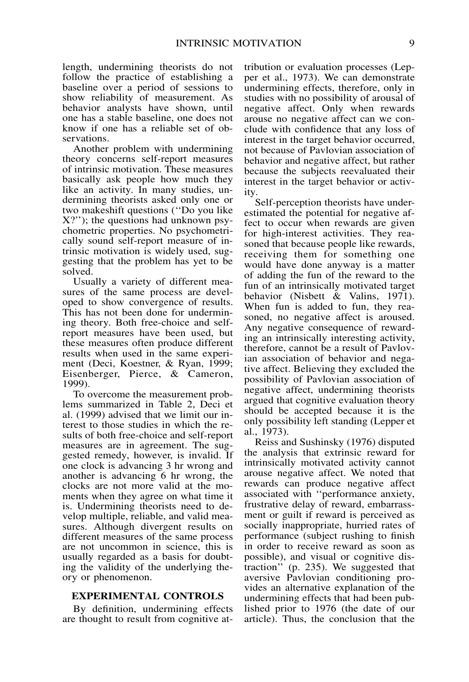length, undermining theorists do not follow the practice of establishing a baseline over a period of sessions to show reliability of measurement. As behavior analysts have shown, until one has a stable baseline, one does not know if one has a reliable set of observations.

Another problem with undermining theory concerns self-report measures of intrinsic motivation. These measures basically ask people how much they like an activity. In many studies, undermining theorists asked only one or two makeshift questions (''Do you like X?''); the questions had unknown psychometric properties. No psychometrically sound self-report measure of intrinsic motivation is widely used, suggesting that the problem has yet to be solved.

Usually a variety of different measures of the same process are developed to show convergence of results. This has not been done for undermining theory. Both free-choice and selfreport measures have been used, but these measures often produce different results when used in the same experiment (Deci, Koestner, & Ryan, 1999; Eisenberger, Pierce, & Cameron, 1999).

To overcome the measurement problems summarized in Table 2, Deci et al. (1999) advised that we limit our interest to those studies in which the results of both free-choice and self-report measures are in agreement. The suggested remedy, however, is invalid. If one clock is advancing 3 hr wrong and another is advancing 6 hr wrong, the clocks are not more valid at the moments when they agree on what time it is. Undermining theorists need to develop multiple, reliable, and valid measures. Although divergent results on different measures of the same process are not uncommon in science, this is usually regarded as a basis for doubting the validity of the underlying theory or phenomenon.

## **EXPERIMENTAL CONTROLS**

By definition, undermining effects are thought to result from cognitive attribution or evaluation processes (Lepper et al., 1973). We can demonstrate undermining effects, therefore, only in studies with no possibility of arousal of negative affect. Only when rewards arouse no negative affect can we conclude with confidence that any loss of interest in the target behavior occurred, not because of Pavlovian association of behavior and negative affect, but rather because the subjects reevaluated their interest in the target behavior or activity.

Self-perception theorists have underestimated the potential for negative affect to occur when rewards are given for high-interest activities. They reasoned that because people like rewards, receiving them for something one would have done anyway is a matter of adding the fun of the reward to the fun of an intrinsically motivated target behavior (Nisbett & Valins, 1971). When fun is added to fun, they reasoned, no negative affect is aroused. Any negative consequence of rewarding an intrinsically interesting activity, therefore, cannot be a result of Pavlovian association of behavior and negative affect. Believing they excluded the possibility of Pavlovian association of negative affect, undermining theorists argued that cognitive evaluation theory should be accepted because it is the only possibility left standing (Lepper et al., 1973).

Reiss and Sushinsky (1976) disputed the analysis that extrinsic reward for intrinsically motivated activity cannot arouse negative affect. We noted that rewards can produce negative affect associated with ''performance anxiety, frustrative delay of reward, embarrassment or guilt if reward is perceived as socially inappropriate, hurried rates of performance (subject rushing to finish in order to receive reward as soon as possible), and visual or cognitive distraction'' (p. 235). We suggested that aversive Pavlovian conditioning provides an alternative explanation of the undermining effects that had been published prior to 1976 (the date of our article). Thus, the conclusion that the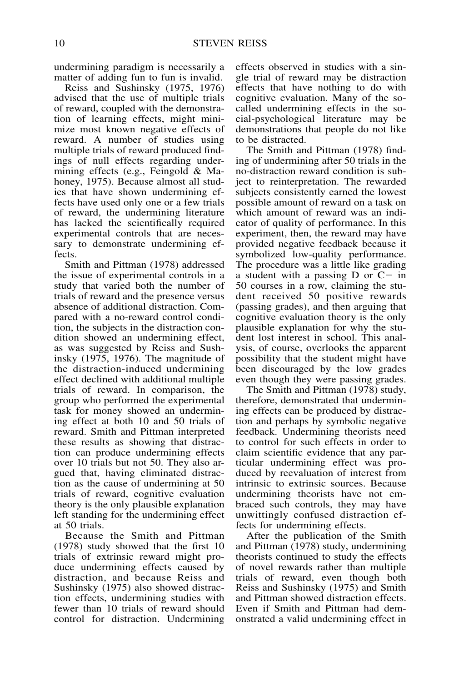undermining paradigm is necessarily a matter of adding fun to fun is invalid.

Reiss and Sushinsky (1975, 1976) advised that the use of multiple trials of reward, coupled with the demonstration of learning effects, might minimize most known negative effects of reward. A number of studies using multiple trials of reward produced findings of null effects regarding undermining effects (e.g., Feingold & Mahoney, 1975). Because almost all studies that have shown undermining effects have used only one or a few trials of reward, the undermining literature has lacked the scientifically required experimental controls that are necessary to demonstrate undermining effects.

Smith and Pittman (1978) addressed the issue of experimental controls in a study that varied both the number of trials of reward and the presence versus absence of additional distraction. Compared with a no-reward control condition, the subjects in the distraction condition showed an undermining effect, as was suggested by Reiss and Sushinsky (1975, 1976). The magnitude of the distraction-induced undermining effect declined with additional multiple trials of reward. In comparison, the group who performed the experimental task for money showed an undermining effect at both 10 and 50 trials of reward. Smith and Pittman interpreted these results as showing that distraction can produce undermining effects over 10 trials but not 50. They also argued that, having eliminated distraction as the cause of undermining at 50 trials of reward, cognitive evaluation theory is the only plausible explanation left standing for the undermining effect at 50 trials.

Because the Smith and Pittman (1978) study showed that the first 10 trials of extrinsic reward might produce undermining effects caused by distraction, and because Reiss and Sushinsky (1975) also showed distraction effects, undermining studies with fewer than 10 trials of reward should control for distraction. Undermining effects observed in studies with a single trial of reward may be distraction effects that have nothing to do with cognitive evaluation. Many of the socalled undermining effects in the social-psychological literature may be demonstrations that people do not like to be distracted.

The Smith and Pittman (1978) finding of undermining after 50 trials in the no-distraction reward condition is subject to reinterpretation. The rewarded subjects consistently earned the lowest possible amount of reward on a task on which amount of reward was an indicator of quality of performance. In this experiment, then, the reward may have provided negative feedback because it symbolized low-quality performance. The procedure was a little like grading a student with a passing  $D$  or  $C$  in 50 courses in a row, claiming the student received 50 positive rewards (passing grades), and then arguing that cognitive evaluation theory is the only plausible explanation for why the student lost interest in school. This analysis, of course, overlooks the apparent possibility that the student might have been discouraged by the low grades even though they were passing grades.

The Smith and Pittman (1978) study, therefore, demonstrated that undermining effects can be produced by distraction and perhaps by symbolic negative feedback. Undermining theorists need to control for such effects in order to claim scientific evidence that any particular undermining effect was produced by reevaluation of interest from intrinsic to extrinsic sources. Because undermining theorists have not embraced such controls, they may have unwittingly confused distraction effects for undermining effects.

After the publication of the Smith and Pittman (1978) study, undermining theorists continued to study the effects of novel rewards rather than multiple trials of reward, even though both Reiss and Sushinsky (1975) and Smith and Pittman showed distraction effects. Even if Smith and Pittman had demonstrated a valid undermining effect in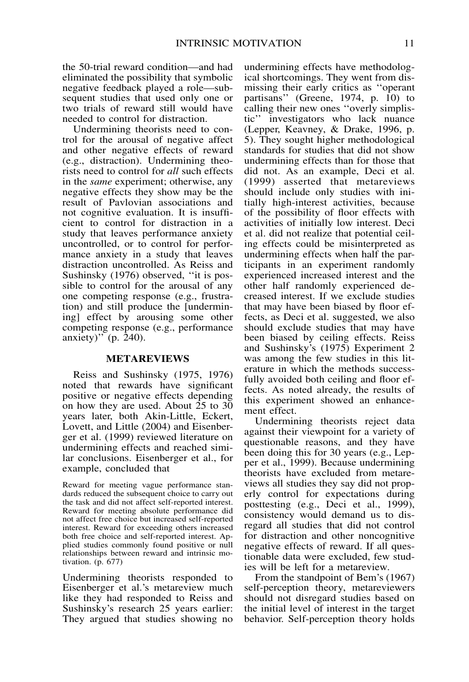the 50-trial reward condition—and had eliminated the possibility that symbolic negative feedback played a role—subsequent studies that used only one or two trials of reward still would have needed to control for distraction.

Undermining theorists need to control for the arousal of negative affect and other negative effects of reward (e.g., distraction). Undermining theorists need to control for *all* such effects in the *same* experiment; otherwise, any negative effects they show may be the result of Pavlovian associations and not cognitive evaluation. It is insufficient to control for distraction in a study that leaves performance anxiety uncontrolled, or to control for performance anxiety in a study that leaves distraction uncontrolled. As Reiss and Sushinsky (1976) observed, ''it is possible to control for the arousal of any one competing response (e.g., frustration) and still produce the [undermining] effect by arousing some other competing response (e.g., performance anxiety)'' (p. 240).

#### **METAREVIEWS**

Reiss and Sushinsky (1975, 1976) noted that rewards have significant positive or negative effects depending on how they are used. About 25 to 30 years later, both Akin-Little, Eckert, Lovett, and Little (2004) and Eisenberger et al. (1999) reviewed literature on undermining effects and reached similar conclusions. Eisenberger et al., for example, concluded that

Reward for meeting vague performance standards reduced the subsequent choice to carry out the task and did not affect self-reported interest. Reward for meeting absolute performance did not affect free choice but increased self-reported interest. Reward for exceeding others increased both free choice and self-reported interest. Applied studies commonly found positive or null relationships between reward and intrinsic motivation. (p. 677)

Undermining theorists responded to Eisenberger et al.'s metareview much like they had responded to Reiss and Sushinsky's research 25 years earlier: They argued that studies showing no

undermining effects have methodological shortcomings. They went from dismissing their early critics as ''operant partisans'' (Greene, 1974, p. 10) to calling their new ones ''overly simplistic'' investigators who lack nuance (Lepper, Keavney, & Drake, 1996, p. 5). They sought higher methodological standards for studies that did not show undermining effects than for those that did not. As an example, Deci et al. (1999) asserted that metareviews should include only studies with initially high-interest activities, because of the possibility of floor effects with activities of initially low interest. Deci et al. did not realize that potential ceiling effects could be misinterpreted as undermining effects when half the participants in an experiment randomly experienced increased interest and the other half randomly experienced decreased interest. If we exclude studies that may have been biased by floor effects, as Deci et al. suggested, we also should exclude studies that may have been biased by ceiling effects. Reiss and Sushinsky's (1975) Experiment 2 was among the few studies in this literature in which the methods successfully avoided both ceiling and floor effects. As noted already, the results of this experiment showed an enhancement effect.

Undermining theorists reject data against their viewpoint for a variety of questionable reasons, and they have been doing this for 30 years (e.g., Lepper et al., 1999). Because undermining theorists have excluded from metareviews all studies they say did not properly control for expectations during posttesting (e.g., Deci et al., 1999), consistency would demand us to disregard all studies that did not control for distraction and other noncognitive negative effects of reward. If all questionable data were excluded, few studies will be left for a metareview.

From the standpoint of Bem's (1967) self-perception theory, metareviewers should not disregard studies based on the initial level of interest in the target behavior. Self-perception theory holds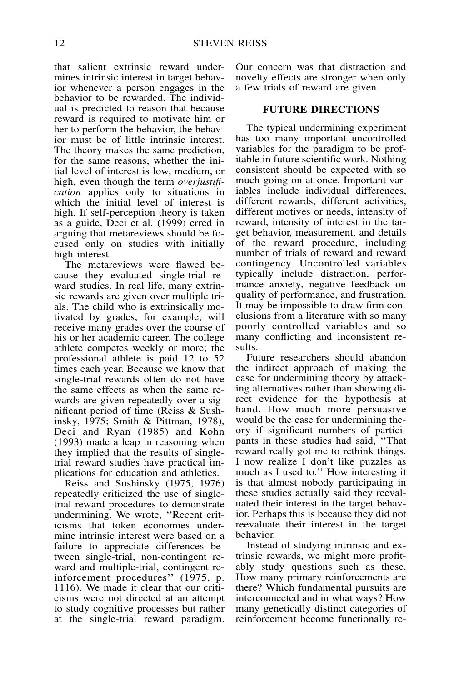that salient extrinsic reward undermines intrinsic interest in target behavior whenever a person engages in the behavior to be rewarded. The individual is predicted to reason that because reward is required to motivate him or her to perform the behavior, the behavior must be of little intrinsic interest. The theory makes the same prediction, for the same reasons, whether the initial level of interest is low, medium, or high, even though the term *overjustification* applies only to situations in which the initial level of interest is high. If self-perception theory is taken as a guide, Deci et al. (1999) erred in arguing that metareviews should be focused only on studies with initially high interest.

The metareviews were flawed because they evaluated single-trial reward studies. In real life, many extrinsic rewards are given over multiple trials. The child who is extrinsically motivated by grades, for example, will receive many grades over the course of his or her academic career. The college athlete competes weekly or more; the professional athlete is paid 12 to 52 times each year. Because we know that single-trial rewards often do not have the same effects as when the same rewards are given repeatedly over a significant period of time (Reiss & Sushinsky, 1975; Smith & Pittman, 1978), Deci and Ryan (1985) and Kohn (1993) made a leap in reasoning when they implied that the results of singletrial reward studies have practical implications for education and athletics.

Reiss and Sushinsky (1975, 1976) repeatedly criticized the use of singletrial reward procedures to demonstrate undermining. We wrote, ''Recent criticisms that token economies undermine intrinsic interest were based on a failure to appreciate differences between single-trial, non-contingent reward and multiple-trial, contingent reinforcement procedures'' (1975, p. 1116). We made it clear that our criticisms were not directed at an attempt to study cognitive processes but rather at the single-trial reward paradigm. Our concern was that distraction and novelty effects are stronger when only a few trials of reward are given.

## **FUTURE DIRECTIONS**

The typical undermining experiment has too many important uncontrolled variables for the paradigm to be profitable in future scientific work. Nothing consistent should be expected with so much going on at once. Important variables include individual differences, different rewards, different activities, different motives or needs, intensity of reward, intensity of interest in the target behavior, measurement, and details of the reward procedure, including number of trials of reward and reward contingency. Uncontrolled variables typically include distraction, performance anxiety, negative feedback on quality of performance, and frustration. It may be impossible to draw firm conclusions from a literature with so many poorly controlled variables and so many conflicting and inconsistent results.

Future researchers should abandon the indirect approach of making the case for undermining theory by attacking alternatives rather than showing direct evidence for the hypothesis at hand. How much more persuasive would be the case for undermining theory if significant numbers of participants in these studies had said, ''That reward really got me to rethink things. I now realize I don't like puzzles as much as I used to.'' How interesting it is that almost nobody participating in these studies actually said they reevaluated their interest in the target behavior. Perhaps this is because they did not reevaluate their interest in the target behavior.

Instead of studying intrinsic and extrinsic rewards, we might more profitably study questions such as these. How many primary reinforcements are there? Which fundamental pursuits are interconnected and in what ways? How many genetically distinct categories of reinforcement become functionally re-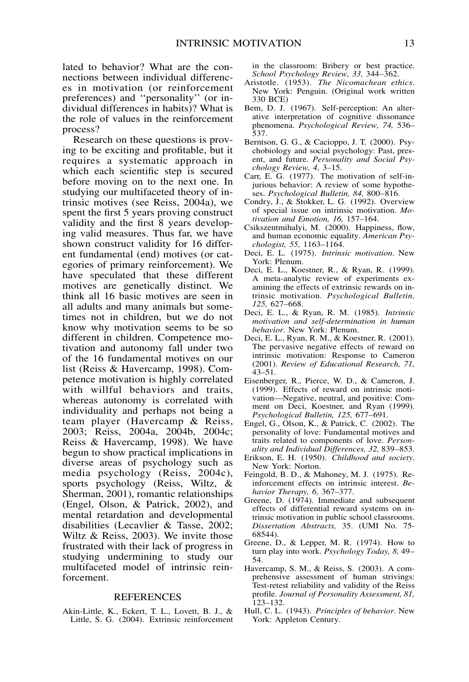lated to behavior? What are the connections between individual differences in motivation (or reinforcement preferences) and ''personality'' (or individual differences in habits)? What is the role of values in the reinforcement process?

Research on these questions is proving to be exciting and profitable, but it requires a systematic approach in which each scientific step is secured before moving on to the next one. In studying our multifaceted theory of intrinsic motives (see Reiss, 2004a), we spent the first 5 years proving construct validity and the first 8 years developing valid measures. Thus far, we have shown construct validity for 16 different fundamental (end) motives (or categories of primary reinforcement). We have speculated that these different motives are genetically distinct. We think all 16 basic motives are seen in all adults and many animals but sometimes not in children, but we do not know why motivation seems to be so different in children. Competence motivation and autonomy fall under two of the 16 fundamental motives on our list (Reiss & Havercamp, 1998). Competence motivation is highly correlated with willful behaviors and traits, whereas autonomy is correlated with individuality and perhaps not being a team player (Havercamp & Reiss, 2003; Reiss, 2004a, 2004b, 2004c; Reiss & Havercamp, 1998). We have begun to show practical implications in diverse areas of psychology such as media psychology (Reiss, 2004c), sports psychology (Reiss, Wiltz, & Sherman, 2001), romantic relationships (Engel, Olson, & Patrick, 2002), and mental retardation and developmental disabilities (Lecavlier & Tasse, 2002; Wiltz & Reiss, 2003). We invite those frustrated with their lack of progress in studying undermining to study our multifaceted model of intrinsic reinforcement.

#### **REFERENCES**

Akin-Little, K., Eckert, T. L., Lovett, B. J., & Little, S. G. (2004). Extrinsic reinforcement in the classroom: Bribery or best practice. *School Psychology Review, 33,* 344–362.

- Aristotle. (1953). *The Nicomachean ethics*. New York: Penguin. (Original work written 330 BCE)
- Bem, D. J. (1967). Self-perception: An alterative interpretation of cognitive dissonance phenomena. *Psychological Review, 74,* 536– 537.
- Berntson, G. G., & Cacioppo, J. T. (2000). Psychobiology and social psychology: Past, present, and future. *Personality and Social Psychology Review, 4,* 3–15.
- Carr, E. G. (1977). The motivation of self-injurious behavior: A review of some hypotheses. *Psychological Bulletin, 84,* 800–816.
- Condry, J., & Stokker, L. G. (1992). Overview of special issue on intrinsic motivation. *Motivation and Emotion, 16,* 157–164.
- Csikszentmihalyi, M. (2000). Happiness, flow, and human economic equality. *American Psychologist, 55,* 1163–1164.
- Deci, E. L. (1975). *Intrinsic motivation*. New York: Plenum.
- Deci, E. L., Koestner, R., & Ryan, R. (1999). A meta-analytic review of experiments examining the effects of extrinsic rewards on intrinsic motivation. *Psychological Bulletin, 125,* 627–668.
- Deci, E. L., & Ryan, R. M. (1985). *Intrinsic motivation and self-determination in human behavior*. New York: Plenum.
- Deci, E. L., Ryan, R. M., & Koestner, R. (2001). The pervasive negative effects of reward on intrinsic motivation: Response to Cameron (2001). *Review of Educational Research, 71,* 43–51.
- Eisenberger, R., Pierce, W. D., & Cameron, J. (1999). Effects of reward on intrinsic motivation—Negative, neutral, and positive: Comment on Deci, Koestner, and Ryan (1999). *Psychological Bulletin, 125,* 677–691.
- Engel, G., Olson, K., & Patrick, C. (2002). The personality of love: Fundamental motives and traits related to components of love. *Personality and Individual Differences, 32,* 839–853.
- Erikson, E. H. (1950). *Childhood and society*. New York: Norton.
- Feingold, B. D., & Mahoney, M. J. (1975). Reinforcement effects on intrinsic interest. *Behavior Therapy, 6,* 367–377.
- Greene, D. (1974). Immediate and subsequent effects of differential reward systems on intrinsic motivation in public school classrooms. *Dissertation Abstracts,* 35. (UMI No. 75- 68544).
- Greene, D., & Lepper, M. R. (1974). How to turn play into work. *Psychology Today, 8,* 49– 54.
- Havercamp, S. M., & Reiss, S. (2003). A comprehensive assessment of human strivings: Test-retest reliability and validity of the Reiss profile. *Journal of Personality Assessment, 81,* 123–132.
- Hull, C. L. (1943). *Principles of behavior*. New York: Appleton Century.